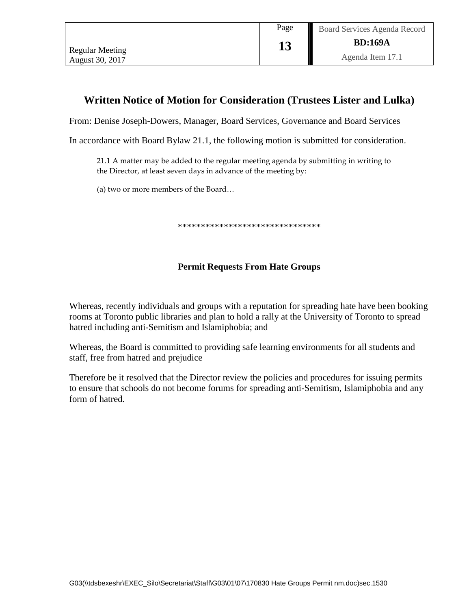## **Written Notice of Motion for Consideration (Trustees Lister and Lulka)**

From: Denise Joseph-Dowers, Manager, Board Services, Governance and Board Services

In accordance with Board Bylaw 21.1, the following motion is submitted for consideration.

21.1 A matter may be added to the regular meeting agenda by submitting in writing to the Director, at least seven days in advance of the meeting by:

(a) two or more members of the Board…

\*\*\*\*\*\*\*\*\*\*\*\*\*\*\*\*\*\*\*\*\*\*\*\*\*\*\*\*\*\*\*

## **Permit Requests From Hate Groups**

Whereas, recently individuals and groups with a reputation for spreading hate have been booking rooms at Toronto public libraries and plan to hold a rally at the University of Toronto to spread hatred including anti-Semitism and Islamiphobia; and

Whereas, the Board is committed to providing safe learning environments for all students and staff, free from hatred and prejudice

Therefore be it resolved that the Director review the policies and procedures for issuing permits to ensure that schools do not become forums for spreading anti-Semitism, Islamiphobia and any form of hatred.